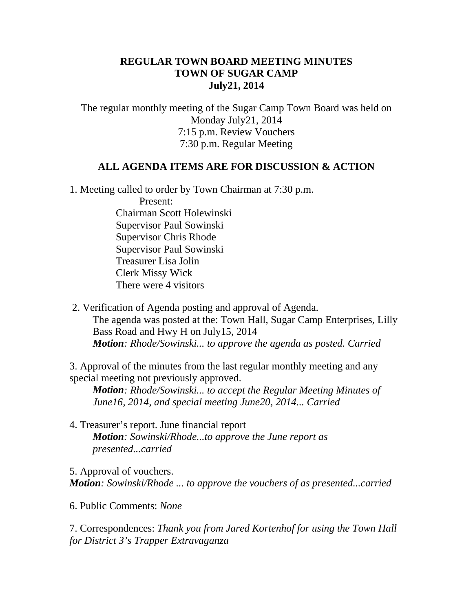# **REGULAR TOWN BOARD MEETING MINUTES TOWN OF SUGAR CAMP July21, 2014**

The regular monthly meeting of the Sugar Camp Town Board was held on Monday July21, 2014 7:15 p.m. Review Vouchers 7:30 p.m. Regular Meeting

### **ALL AGENDA ITEMS ARE FOR DISCUSSION & ACTION**

1. Meeting called to order by Town Chairman at 7:30 p.m.

 Present: Chairman Scott Holewinski Supervisor Paul Sowinski Supervisor Chris Rhode Supervisor Paul Sowinski Treasurer Lisa Jolin Clerk Missy Wick There were 4 visitors

2. Verification of Agenda posting and approval of Agenda. The agenda was posted at the: Town Hall, Sugar Camp Enterprises, Lilly Bass Road and Hwy H on July15, 2014 *Motion: Rhode/Sowinski... to approve the agenda as posted. Carried*

3. Approval of the minutes from the last regular monthly meeting and any special meeting not previously approved.

*Motion: Rhode/Sowinski... to accept the Regular Meeting Minutes of June16, 2014, and special meeting June20, 2014... Carried*

4. Treasurer's report. June financial report *Motion: Sowinski/Rhode...to approve the June report as presented...carried*

5. Approval of vouchers. *Motion: Sowinski/Rhode ... to approve the vouchers of as presented...carried*

6. Public Comments: *None*

7. Correspondences: *Thank you from Jared Kortenhof for using the Town Hall for District 3's Trapper Extravaganza*